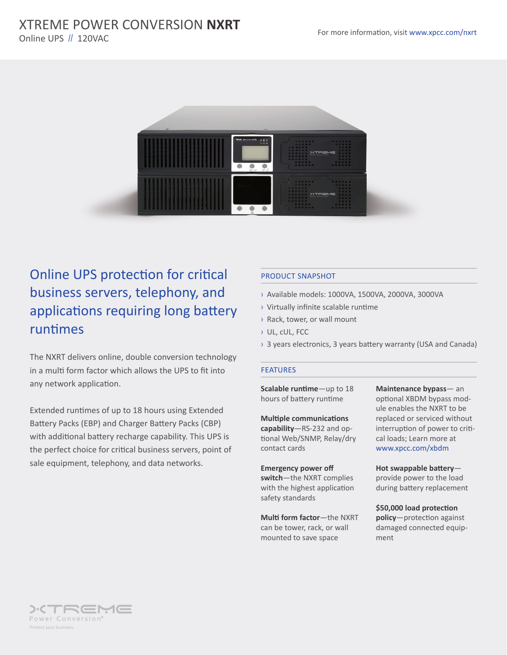### For more information, visit www.xpcc.com/nxrt XTREME POWER CONVERSION **NXRT** Online UPS // 120VAC



# Online UPS protection for critical business servers, telephony, and applications requiring long battery runtimes

The NXRT delivers online, double conversion technology in a multi form factor which allows the UPS to fit into any network application.

Extended runtimes of up to 18 hours using Extended Battery Packs (EBP) and Charger Battery Packs (CBP) with additional battery recharge capability. This UPS is the perfect choice for critical business servers, point of sale equipment, telephony, and data networks.

#### PRODUCT SNAPSHOT

- › Available models: 1000VA, 1500VA, 2000VA, 3000VA
- › Virtually infinite scalable runtime
- › Rack, tower, or wall mount
- › UL, cUL, FCC
- › 3 years electronics, 3 years battery warranty (USA and Canada)

#### FEATURES

**Scalable runtime**—up to 18 hours of battery runtime

**Multiple communications capability**—RS-232 and optional Web/SNMP, Relay/dry contact cards

**Emergency power off switch**—the NXRT complies with the highest application safety standards

**Multi form factor**—the NXRT can be tower, rack, or wall mounted to save space

**Maintenance bypass**— an optional XBDM bypass module enables the NXRT to be replaced or serviced without interruption of power to critical loads; Learn more at www.xpcc.com/xbdm

**Hot swappable battery** provide power to the load during battery replacement

**\$50,000 load protection policy**—protection against damaged connected equipment